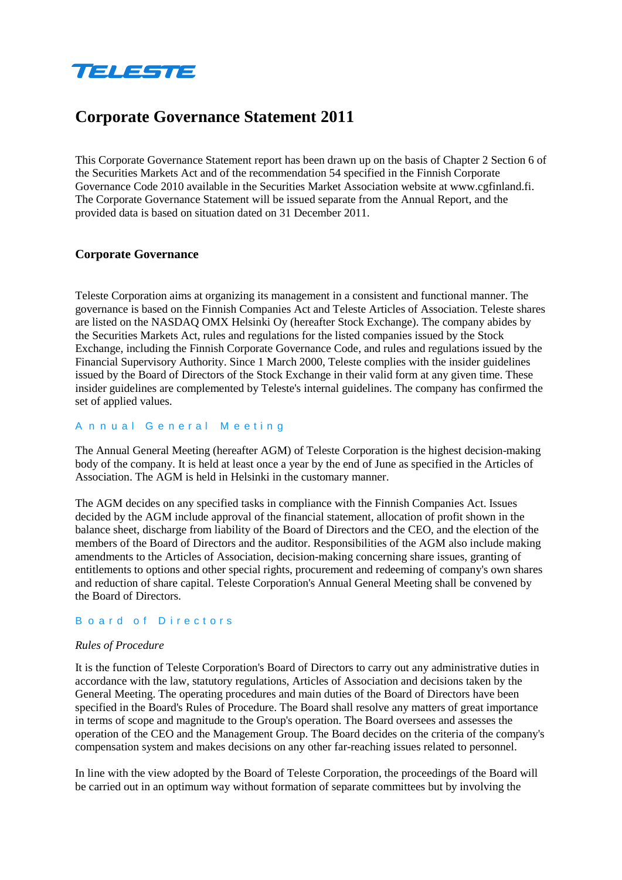

# **Corporate Governance Statement 2011**

This Corporate Governance Statement report has been drawn up on the basis of Chapter 2 Section 6 of the Securities Markets Act and of the recommendation 54 specified in the Finnish Corporate Governance Code 2010 available in the Securities Market Association website at www.cgfinland.fi. The Corporate Governance Statement will be issued separate from the Annual Report, and the provided data is based on situation dated on 31 December 2011.

# **Corporate Governance**

Teleste Corporation aims at organizing its management in a consistent and functional manner. The governance is based on the Finnish Companies Act and Teleste Articles of Association. Teleste shares are listed on the NASDAQ OMX Helsinki Oy (hereafter Stock Exchange). The company abides by the Securities Markets Act, rules and regulations for the listed companies issued by the Stock Exchange, including the Finnish Corporate Governance Code, and rules and regulations issued by the Financial Supervisory Authority. Since 1 March 2000, Teleste complies with the insider guidelines issued by the Board of Directors of the Stock Exchange in their valid form at any given time. These insider guidelines are complemented by Teleste's internal guidelines. The company has confirmed the set of applied values.

#### A n n ual G e neral M eetin g

The Annual General Meeting (hereafter AGM) of Teleste Corporation is the highest decision-making body of the company. It is held at least once a year by the end of June as specified in the Articles of Association. The AGM is held in Helsinki in the customary manner.

The AGM decides on any specified tasks in compliance with the Finnish Companies Act. Issues decided by the AGM include approval of the financial statement, allocation of profit shown in the balance sheet, discharge from liability of the Board of Directors and the CEO, and the election of the members of the Board of Directors and the auditor. Responsibilities of the AGM also include making amendments to the Articles of Association, decision-making concerning share issues, granting of entitlements to options and other special rights, procurement and redeeming of company's own shares and reduction of share capital. Teleste Corporation's Annual General Meeting shall be convened by the Board of Directors.

#### B oard of Directors

#### *Rules of Procedure*

It is the function of Teleste Corporation's Board of Directors to carry out any administrative duties in accordance with the law, statutory regulations, Articles of Association and decisions taken by the General Meeting. The operating procedures and main duties of the Board of Directors have been specified in the Board's Rules of Procedure. The Board shall resolve any matters of great importance in terms of scope and magnitude to the Group's operation. The Board oversees and assesses the operation of the CEO and the Management Group. The Board decides on the criteria of the company's compensation system and makes decisions on any other far-reaching issues related to personnel.

In line with the view adopted by the Board of Teleste Corporation, the proceedings of the Board will be carried out in an optimum way without formation of separate committees but by involving the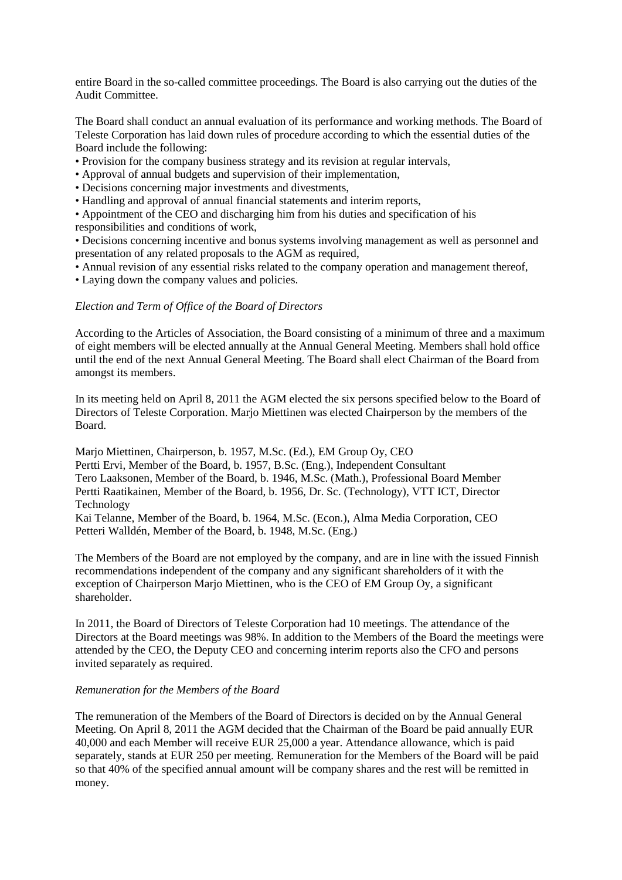entire Board in the so-called committee proceedings. The Board is also carrying out the duties of the Audit Committee.

The Board shall conduct an annual evaluation of its performance and working methods. The Board of Teleste Corporation has laid down rules of procedure according to which the essential duties of the Board include the following:

• Provision for the company business strategy and its revision at regular intervals,

- Approval of annual budgets and supervision of their implementation,
- Decisions concerning major investments and divestments,
- Handling and approval of annual financial statements and interim reports,

• Appointment of the CEO and discharging him from his duties and specification of his responsibilities and conditions of work,

• Decisions concerning incentive and bonus systems involving management as well as personnel and presentation of any related proposals to the AGM as required,

• Annual revision of any essential risks related to the company operation and management thereof,

• Laying down the company values and policies.

# *Election and Term of Office of the Board of Directors*

According to the Articles of Association, the Board consisting of a minimum of three and a maximum of eight members will be elected annually at the Annual General Meeting. Members shall hold office until the end of the next Annual General Meeting. The Board shall elect Chairman of the Board from amongst its members.

In its meeting held on April 8, 2011 the AGM elected the six persons specified below to the Board of Directors of Teleste Corporation. Marjo Miettinen was elected Chairperson by the members of the Board.

Marjo Miettinen, Chairperson, b. 1957, M.Sc. (Ed.), EM Group Oy, CEO Pertti Ervi, Member of the Board, b. 1957, B.Sc. (Eng.), Independent Consultant Tero Laaksonen, Member of the Board, b. 1946, M.Sc. (Math.), Professional Board Member Pertti Raatikainen, Member of the Board, b. 1956, Dr. Sc. (Technology), VTT ICT, Director Technology

Kai Telanne, Member of the Board, b. 1964, M.Sc. (Econ.), Alma Media Corporation, CEO Petteri Walldén, Member of the Board, b. 1948, M.Sc. (Eng.)

The Members of the Board are not employed by the company, and are in line with the issued Finnish recommendations independent of the company and any significant shareholders of it with the exception of Chairperson Marjo Miettinen, who is the CEO of EM Group Oy, a significant shareholder.

In 2011, the Board of Directors of Teleste Corporation had 10 meetings. The attendance of the Directors at the Board meetings was 98%. In addition to the Members of the Board the meetings were attended by the CEO, the Deputy CEO and concerning interim reports also the CFO and persons invited separately as required.

#### *Remuneration for the Members of the Board*

The remuneration of the Members of the Board of Directors is decided on by the Annual General Meeting. On April 8, 2011 the AGM decided that the Chairman of the Board be paid annually EUR 40,000 and each Member will receive EUR 25,000 a year. Attendance allowance, which is paid separately, stands at EUR 250 per meeting. Remuneration for the Members of the Board will be paid so that 40% of the specified annual amount will be company shares and the rest will be remitted in money.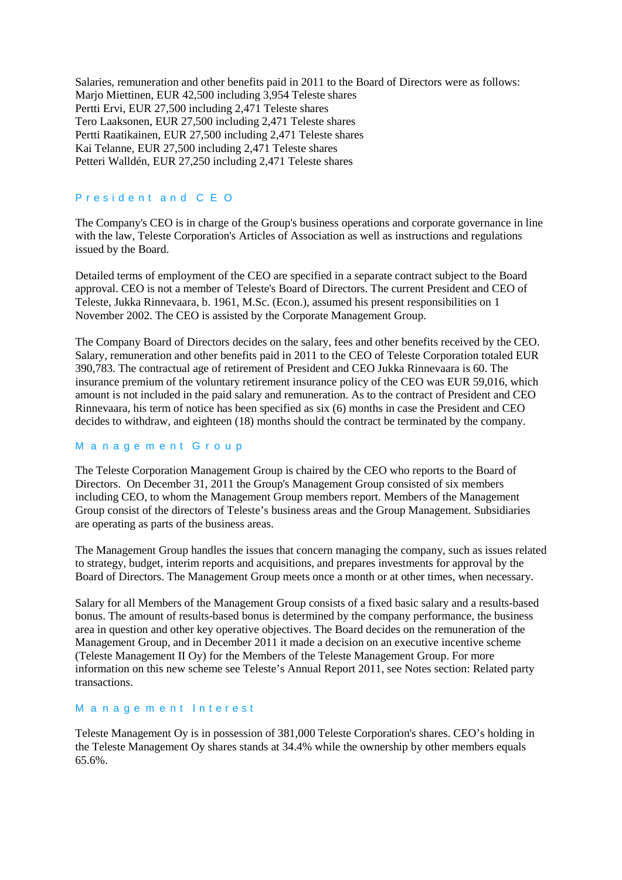Salaries, remuneration and other benefits paid in 2011 to the Board of Directors were as follows: Marjo Miettinen, EUR 42,500 including 3,954 Teleste shares Pertti Ervi, EUR 27,500 including 2,471 Teleste shares Tero Laaksonen, EUR 27,500 including 2,471 Teleste shares Pertti Raatikainen, EUR 27,500 including 2,471 Teleste shares Kai Telanne, EUR 27,500 including 2,471 Teleste shares Petteri Walldén, EUR 27,250 including 2,471 Teleste shares

#### President and C E O

The Company's CEO is in charge of the Group's business operations and corporate governance in line with the law, Teleste Corporation's Articles of Association as well as instructions and regulations issued by the Board.

Detailed terms of employment of the CEO are specified in a separate contract subject to the Board approval. CEO is not a member of Teleste's Board of Directors. The current President and CEO of Teleste, Jukka Rinnevaara, b. 1961, M.Sc. (Econ.), assumed his present responsibilities on 1 November 2002. The CEO is assisted by the Corporate Management Group.

The Company Board of Directors decides on the salary, fees and other benefits received by the CEO. Salary, remuneration and other benefits paid in 2011 to the CEO of Teleste Corporation totaled EUR 390,783. The contractual age of retirement of President and CEO Jukka Rinnevaara is 60. The insurance premium of the voluntary retirement insurance policy of the CEO was EUR 59,016, which amount is not included in the paid salary and remuneration. As to the contract of President and CEO Rinnevaara, his term of notice has been specified as six (6) months in case the President and CEO decides to withdraw, and eighteen (18) months should the contract be terminated by the company.

#### M a n a ge m e nt G r o u p

The Teleste Corporation Management Group is chaired by the CEO who reports to the Board of Directors. On December 31, 2011 the Group's Management Group consisted of six members including CEO, to whom the Management Group members report. Members of the Management Group consist of the directors of Teleste's business areas and the Group Management. Subsidiaries are operating as parts of the business areas.

The Management Group handles the issues that concern managing the company, such as issues related to strategy, budget, interim reports and acquisitions, and prepares investments for approval by the Board of Directors. The Management Group meets once a month or at other times, when necessary.

Salary for all Members of the Management Group consists of a fixed basic salary and a results-based bonus. The amount of results-based bonus is determined by the company performance, the business area in question and other key operative objectives. The Board decides on the remuneration of the Management Group, and in December 2011 it made a decision on an executive incentive scheme (Teleste Management II Oy) for the Members of the Teleste Management Group. For more information on this new scheme see Teleste's Annual Report 2011, see Notes section: Related party transactions.

#### M a n a ge m e nt Interest

Teleste Management Oy is in possession of 381,000 Teleste Corporation's shares. CEO's holding in the Teleste Management Oy shares stands at 34.4% while the ownership by other members equals 65.6%.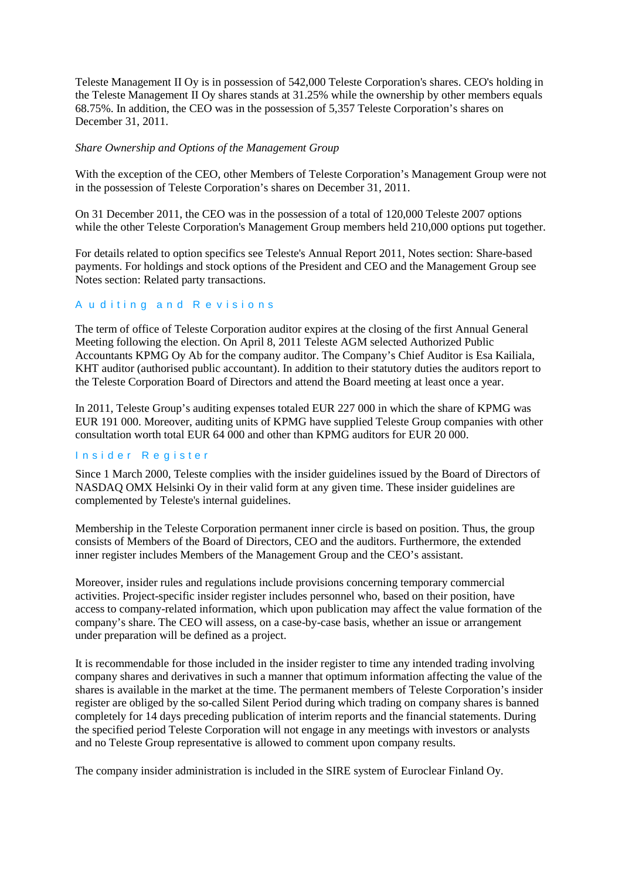Teleste Management II Oy is in possession of 542,000 Teleste Corporation's shares. CEO's holding in the Teleste Management II Oy shares stands at 31.25% while the ownership by other members equals 68.75%. In addition, the CEO was in the possession of 5,357 Teleste Corporation's shares on December 31, 2011.

### *Share Ownership and Options of the Management Group*

With the exception of the CEO, other Members of Teleste Corporation's Management Group were not in the possession of Teleste Corporation's shares on December 31, 2011.

On 31 December 2011, the CEO was in the possession of a total of 120,000 Teleste 2007 options while the other Teleste Corporation's Management Group members held 210,000 options put together.

For details related to option specifics see Teleste's Annual Report 2011, Notes section: Share-based payments. For holdings and stock options of the President and CEO and the Management Group see Notes section: Related party transactions.

## A u diting and R e visions

The term of office of Teleste Corporation auditor expires at the closing of the first Annual General Meeting following the election. On April 8, 2011 Teleste AGM selected Authorized Public Accountants KPMG Oy Ab for the company auditor. The Company's Chief Auditor is Esa Kailiala, KHT auditor (authorised public accountant). In addition to their statutory duties the auditors report to the Teleste Corporation Board of Directors and attend the Board meeting at least once a year.

In 2011, Teleste Group's auditing expenses totaled EUR 227 000 in which the share of KPMG was EUR 191 000. Moreover, auditing units of KPMG have supplied Teleste Group companies with other consultation worth total EUR 64 000 and other than KPMG auditors for EUR 20 000.

### Insider Register

Since 1 March 2000, Teleste complies with the insider guidelines issued by the Board of Directors of NASDAQ OMX Helsinki Oy in their valid form at any given time. These insider guidelines are complemented by Teleste's internal guidelines.

Membership in the Teleste Corporation permanent inner circle is based on position. Thus, the group consists of Members of the Board of Directors, CEO and the auditors. Furthermore, the extended inner register includes Members of the Management Group and the CEO's assistant.

Moreover, insider rules and regulations include provisions concerning temporary commercial activities. Project-specific insider register includes personnel who, based on their position, have access to company-related information, which upon publication may affect the value formation of the company's share. The CEO will assess, on a case-by-case basis, whether an issue or arrangement under preparation will be defined as a project.

It is recommendable for those included in the insider register to time any intended trading involving company shares and derivatives in such a manner that optimum information affecting the value of the shares is available in the market at the time. The permanent members of Teleste Corporation's insider register are obliged by the so-called Silent Period during which trading on company shares is banned completely for 14 days preceding publication of interim reports and the financial statements. During the specified period Teleste Corporation will not engage in any meetings with investors or analysts and no Teleste Group representative is allowed to comment upon company results.

The company insider administration is included in the SIRE system of Euroclear Finland Oy.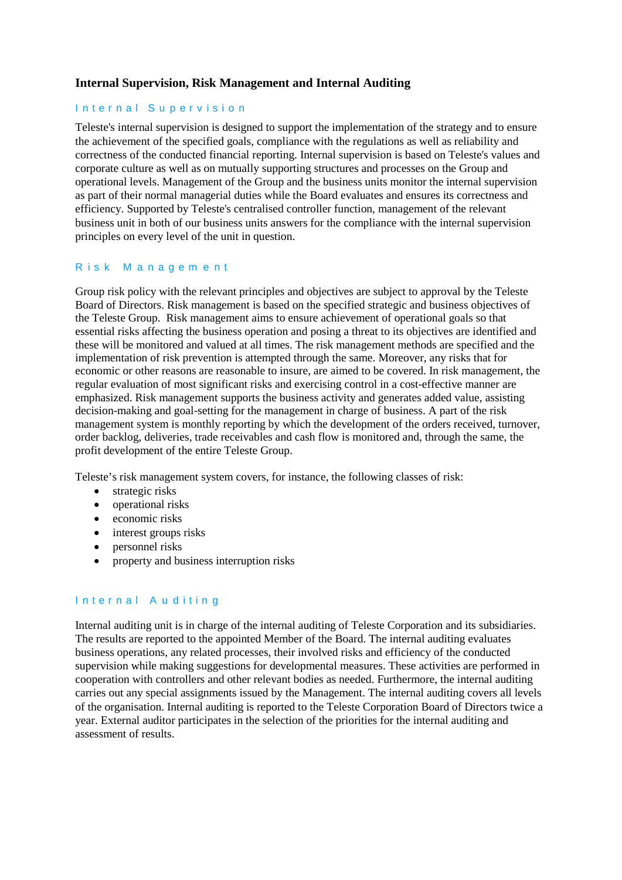# **Internal Supervision, Risk Management and Internal Auditing**

# Internal Supervision

Teleste's internal supervision is designed to support the implementation of the strategy and to ensure the achievement of the specified goals, compliance with the regulations as well as reliability and correctness of the conducted financial reporting. Internal supervision is based on Teleste's values and corporate culture as well as on mutually supporting structures and processes on the Group and operational levels. Management of the Group and the business units monitor the internal supervision as part of their normal managerial duties while the Board evaluates and ensures its correctness and efficiency. Supported by Teleste's centralised controller function, management of the relevant business unit in both of our business units answers for the compliance with the internal supervision principles on every level of the unit in question.

## Risk M anagem ent

Group risk policy with the relevant principles and objectives are subject to approval by the Teleste Board of Directors. Risk management is based on the specified strategic and business objectives of the Teleste Group. Risk management aims to ensure achievement of operational goals so that essential risks affecting the business operation and posing a threat to its objectives are identified and these will be monitored and valued at all times. The risk management methods are specified and the implementation of risk prevention is attempted through the same. Moreover, any risks that for economic or other reasons are reasonable to insure, are aimed to be covered. In risk management, the regular evaluation of most significant risks and exercising control in a cost-effective manner are emphasized. Risk management supports the business activity and generates added value, assisting decision-making and goal-setting for the management in charge of business. A part of the risk management system is monthly reporting by which the development of the orders received, turnover, order backlog, deliveries, trade receivables and cash flow is monitored and, through the same, the profit development of the entire Teleste Group.

Teleste's risk management system covers, for instance, the following classes of risk:

- strategic risks
- operational risks
- economic risks
- interest groups risks
- personnel risks
- property and business interruption risks

# Internal A u ditin g

Internal auditing unit is in charge of the internal auditing of Teleste Corporation and its subsidiaries. The results are reported to the appointed Member of the Board. The internal auditing evaluates business operations, any related processes, their involved risks and efficiency of the conducted supervision while making suggestions for developmental measures. These activities are performed in cooperation with controllers and other relevant bodies as needed. Furthermore, the internal auditing carries out any special assignments issued by the Management. The internal auditing covers all levels of the organisation. Internal auditing is reported to the Teleste Corporation Board of Directors twice a year. External auditor participates in the selection of the priorities for the internal auditing and assessment of results.